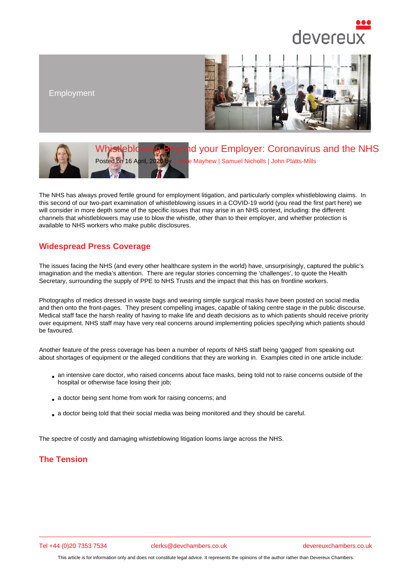**Employment** 

# Whistleblowing Beyond your Employer: Coronavirus and the NHS

Posted on 16 April, 2020 by | Alice Mayhew | Samuel Nicholls | John Platts-Mills

The NHS has always proved fertile ground for emp[loyment litigati](/barristers/profile/alice-mayhew)o[n, and particularl](/barristers/profile/samuel-nicholls)y [complex whistleb](/barristers/profile/john-platts-mills)lowing claims. In this second of our two-part examination of whistleblowing issues in a COVID-19 world (you read the first part here) we will consider in more depth some of the specific issues that may arise in an NHS context, including: the different channels that whistleblowers may use to blow the whistle, other than to their employer, and whether protection is available to NHS workers who make public disclosures.

## Widespread Press Coverage

The issues facing the NHS (and every other healthcare system in the world) have, unsurprisingly, captured the public's imagination and the media's attention. There are regular stories concerning the 'challenges', to quote the Health Secretary, surrounding the supply of PPE to NHS Trusts and the impact that this has on frontline workers.

Photographs of medics dressed in waste bags and wearing simple surgical masks have been posted on social media and then onto the front-pages. They present compelling images, capable of taking centre stage in the public discourse. Medical staff face the harsh reality of having to make life and death decisions as to which patients should receive priority over equipment. NHS staff may have very real concerns around implementing policies specifying which patients should be favoured.

Another feature of the press coverage has been a number of reports of NHS staff being 'gagged' from speaking out about shortages of equipment or the alleged conditions that they are working in. Examples cited in one article include:

- an intensive care doctor, who raised concerns about face masks, being told not to raise concerns outside of the hospital or otherwise face losing their job;
- a doctor being sent home from work for raising concerns; and
- a doctor being told that their social media was being monitored and they should be careful.

The spectre of costly and damaging whistleblowing litigation looms large across the NHS.

## The Tension

Tel +44 (0)20 7353 7534 clerks@devchambers.co.uk devereuxchambers.co.uk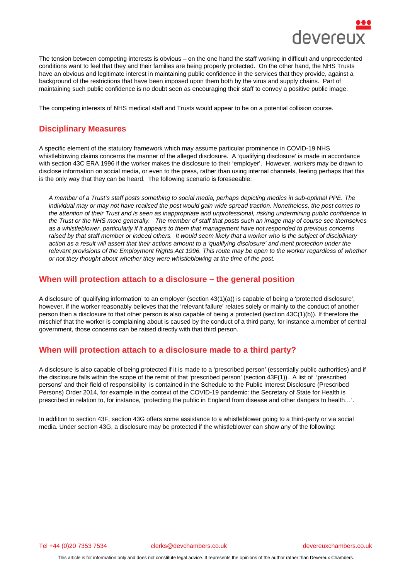The tension between competing interests is obvious – on the one hand the staff working in difficult and unprecedented conditions want to feel that they and their families are being properly protected. On the other hand, the NHS Trusts have an obvious and legitimate interest in maintaining public confidence in the services that they provide, against a background of the restrictions that have been imposed upon them both by the virus and supply chains. Part of maintaining such public confidence is no doubt seen as encouraging their staff to convey a positive public image.

The competing interests of NHS medical staff and Trusts would appear to be on a potential collision course.

# Disciplinary Measures

A specific element of the statutory framework which may assume particular prominence in COVID-19 NHS whistleblowing claims concerns the manner of the alleged disclosure. A 'qualifying disclosure' is made in accordance with section 43C ERA 1996 if the worker makes the disclosure to their 'employer'. However, workers may be drawn to disclose information on social media, or even to the press, rather than using internal channels, feeling perhaps that this is the only way that they can be heard. The following scenario is foreseeable:

A member of a Trust's staff posts something to social media, perhaps depicting medics in sub-optimal PPE. The individual may or may not have realised the post would gain wide spread traction. Nonetheless, the post comes to the attention of their Trust and is seen as inappropriate and unprofessional, risking undermining public confidence in the Trust or the NHS more generally. The member of staff that posts such an image may of course see themselves as a whistleblower, particularly if it appears to them that management have not responded to previous concerns raised by that staff member or indeed others. It would seem likely that a worker who is the subject of disciplinary action as a result will assert that their actions amount to a 'qualifying disclosure' and merit protection under the relevant provisions of the Employment Rights Act 1996. This route may be open to the worker regardless of whether or not they thought about whether they were whistleblowing at the time of the post.

#### When will protection attach to a disclosure – the general position

A disclosure of 'qualifying information' to an employer (section 43(1)(a)) is capable of being a 'protected disclosure', however, if the worker reasonably believes that the 'relevant failure' relates solely or mainly to the conduct of another person then a disclosure to that other person is also capable of being a protected (section 43C(1)(b)). If therefore the mischief that the worker is complaining about is caused by the conduct of a third party, for instance a member of central government, those concerns can be raised directly with that third person.

## When will protection attach to a disclosure made to a third party?

A disclosure is also capable of being protected if it is made to a 'prescribed person' (essentially public authorities) and if the disclosure falls within the scope of the remit of that 'prescribed person' (section 43F(1)). A list of 'prescribed persons' and their field of responsibility is contained in the Schedule to the Public Interest Disclosure (Prescribed Persons) Order 2014, for example in the context of the COVID-19 pandemic: the Secretary of State for Health is prescribed in relation to, for instance, 'protecting the public in England from disease and other dangers to health…'.

In addition to section 43F, section 43G offers some assistance to a whistleblower going to a third-party or via social media. Under section 43G, a disclosure may be protected if the whistleblower can show any of the following:

Tel +44 (0)20 7353 7534 clerks@devchambers.co.uk devereuxchambers.co.uk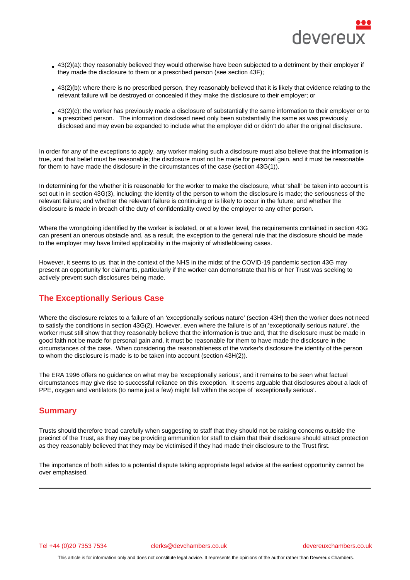- $\bullet$  43(2)(a): they reasonably believed they would otherwise have been subjected to a detriment by their employer if they made the disclosure to them or a prescribed person (see section 43F);
- $\bullet$  43(2)(b): where there is no prescribed person, they reasonably believed that it is likely that evidence relating to the relevant failure will be destroyed or concealed if they make the disclosure to their employer; or
- $\bullet$  43(2)(c): the worker has previously made a disclosure of substantially the same information to their employer or to a prescribed person. The information disclosed need only been substantially the same as was previously disclosed and may even be expanded to include what the employer did or didn't do after the original disclosure.

In order for any of the exceptions to apply, any worker making such a disclosure must also believe that the information is true, and that belief must be reasonable; the disclosure must not be made for personal gain, and it must be reasonable for them to have made the disclosure in the circumstances of the case (section 43G(1)).

In determining for the whether it is reasonable for the worker to make the disclosure, what 'shall' be taken into account is set out in in section 43G(3), including: the identity of the person to whom the disclosure is made; the seriousness of the relevant failure; and whether the relevant failure is continuing or is likely to occur in the future; and whether the disclosure is made in breach of the duty of confidentiality owed by the employer to any other person.

Where the wrongdoing identified by the worker is isolated, or at a lower level, the requirements contained in section 43G can present an onerous obstacle and, as a result, the exception to the general rule that the disclosure should be made to the employer may have limited applicability in the majority of whistleblowing cases.

However, it seems to us, that in the context of the NHS in the midst of the COVID-19 pandemic section 43G may present an opportunity for claimants, particularly if the worker can demonstrate that his or her Trust was seeking to actively prevent such disclosures being made.

## The Exceptionally Serious Case

Where the disclosure relates to a failure of an 'exceptionally serious nature' (section 43H) then the worker does not need to satisfy the conditions in section 43G(2). However, even where the failure is of an 'exceptionally serious nature', the worker must still show that they reasonably believe that the information is true and, that the disclosure must be made in good faith not be made for personal gain and, it must be reasonable for them to have made the disclosure in the circumstances of the case. When considering the reasonableness of the worker's disclosure the identity of the person to whom the disclosure is made is to be taken into account (section 43H(2)).

The ERA 1996 offers no guidance on what may be 'exceptionally serious', and it remains to be seen what factual circumstances may give rise to successful reliance on this exception. It seems arguable that disclosures about a lack of PPE, oxygen and ventilators (to name just a few) might fall within the scope of 'exceptionally serious'.

## **Summary**

Trusts should therefore tread carefully when suggesting to staff that they should not be raising concerns outside the precinct of the Trust, as they may be providing ammunition for staff to claim that their disclosure should attract protection as they reasonably believed that they may be victimised if they had made their disclosure to the Trust first.

The importance of both sides to a potential dispute taking appropriate legal advice at the earliest opportunity cannot be over emphasised.

Tel +44 (0)20 7353 7534 clerks@devchambers.co.uk devereuxchambers.co.uk